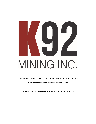# MINING INC.

# **CONDENSED CONSOLIDATED INTERIM FINANCIAL STATEMENTS**

# **(Presented in thousands of United States Dollars)**

**FOR THE THREE MONTHS ENDED MARCH 31, 2022 AND 2021**

1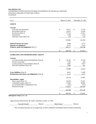#### **K92 MINING INC.**  CONDENSED CONSOLIDATED INTERIM STATEMENTS OF FINANCIAL POSITION (Presented in thousands of United States Dollars) (Unaudited)

As at March 31, 2022 December 31, 2021 **ASSETS Current** Cash and cash equivalents  $\qquad$  79,917  $\qquad$  71,270 Receivables (Note 4) 26,423 23,249 Inventories (Note 5) 27,313 25,411 Prepayments  $1,260$   $1,470$ Derivative assets (Note 10) 118 135,092 121,518 **Deferred income tax assets** 8,448 9,774 **Deposits on equipment** 6,473 1,933 **Property, plant and equipment** (Note 7) 148,771 139,798 \$ 298,784 \$ 273,023 **LIABILITIES AND SHAREHOLDERS' EQUITY Current** Accounts payable and accrued liabilities (Note 6)  $\qquad$  \$ 28,742 \$ 27,150 Income tax payable 644 Current portion of lease liabilities (Note 9) 4,891 4,797 Derivative liabilities (Note 10) 1,963 425 43,006 33,016 **Lease liabilities** (Note 9) 8,011 9,300 **Reclamation and closure cost obligations** (Note 8) 5,117 5,571 5,571 56,134 47,887 **Shareholders' equity** Share capital (Note 11) 95,833 92,021 Contributed surplus (Note 11) 27,662 28,042 Accumulated other comprehensive loss (257) (257) (257) Retained earnings 119,412 105,330 242,650 225,136 \$ 298,784 \$ 273,023

## **Subsequent events** (Note 18)

Approved and authorized by the Audit Committee on May 13, 2022:

*"Saurabh Handa"* Director *"Mark Eaton"* Director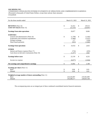# **K92 MINING INC.**

CONDENSED CONSOLIDATED INTERIM STATEMENTS OF OPERATIONS AND COMPREHENSIVE EARNINGS (Presented in thousands of United States Dollars, except share and per share amounts) (Unaudited)

| For the three months ended                              |          | March 31, 2022 |          | March 31, 2021 |
|---------------------------------------------------------|----------|----------------|----------|----------------|
|                                                         |          |                |          |                |
| <b>REVENUE</b> (Note 14)                                | \$       | 52,412         | \$       | 29,513         |
| <b>COST OF SALES</b> (Note 15)                          |          | (22, 535)      |          | (20,907)       |
| <b>Earnings from mine operations</b>                    |          | 29,877         |          | 8,606          |
| <b>EXPENSES</b>                                         |          |                |          |                |
| General and administrative (Note 16)                    | \$       | (1,799)        | \$       | (1,442)        |
| Exploration and evaluation expenditures                 |          | (2,980)        |          | (2,421)        |
| Foreign exchange                                        |          | 177            |          | (236)          |
| Share-based payments                                    |          | (923)          |          | (1,682)        |
| <b>Earnings from operations</b>                         | \$       | 24,352         | \$       | 2,825          |
| <b>OTHER</b>                                            |          |                |          |                |
| Interest and finance expense (Note 17)                  |          | (716)          |          | (435)          |
| Gain (loss) on derivative instruments (Note 10)         |          | (1, 477)       |          | 1,862          |
| <b>Earnings before taxes</b>                            | \$       | 22,159         | \$       | 4,252          |
| Income tax expense                                      |          | (8,077)        |          | (2,064)        |
| Net earnings and comprehensive earnings                 | \$       | 14,082         | \$       | 2,188          |
|                                                         |          |                |          |                |
| <b>Earnings per share (Note 11)</b>                     |          |                |          |                |
| <b>Basic</b><br>Diluted                                 | \$<br>\$ | 0.06<br>0.06   | \$<br>\$ | 0.01<br>0.01   |
|                                                         |          |                |          |                |
| Weighted average number of shares outstanding (Note 11) |          |                |          |                |
| <b>Basic</b>                                            |          | 224,526,997    |          | 219,501,009    |
| Diluted                                                 |          | 230,288,577    |          | 228,825,168    |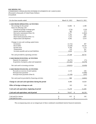# **K92 MINING INC.**  CONDENSED CONSOLIDATED INTERIM STATEMENTS OF CASH FLOWS (Presented in thousands of United States Dollars)

(Unaudited)

| For the three months ended                            | March 31, 2022 | March 31, 2021 |
|-------------------------------------------------------|----------------|----------------|
| <b>CASH FROM OPERATING ACTIVITIES</b>                 |                |                |
| Net earnings for the period                           | \$<br>14,082   | \$<br>2,188    |
| Items not affecting cash:                             |                |                |
| Unrealized foreign exchange gain                      | (174)          | (116)          |
| Interest and finance expenses                         | 385            | 273            |
| Derivative instruments (Note 10)                      | 1,477          | (1,862)        |
| Deferred income tax                                   | 1,292          | 885            |
| Share-based payments (Note 11)                        | 1,313          | 3,005          |
| Depreciation and depletion                            | 4,302          | 3,314          |
|                                                       |                |                |
| Changes in non-cash working capital items:            |                |                |
| Inventories                                           | (1,712)        | 407            |
| Receivables                                           | (3,530)        | 18,129         |
| Income taxes                                          | 6,766          | 1,179          |
| Prepayments                                           | 210            | 567            |
| Accounts payable and accrued liabilities              | 2,919          | 762            |
| Net cash provided by operating activities             | 27,330         | 28,731         |
| <b>CASH FROM INVESTING ACTIVITIES</b>                 |                |                |
| Deposits for equipment                                | (6, 473)       | (71)           |
| Acquisition of property, plant and equipment          | (13, 342)      | (9,379)        |
|                                                       |                |                |
| Net cash used in investing activities                 | (19, 815)      | (9,450)        |
| <b>CASH FROM FINANCING ACTIVITIES</b>                 |                |                |
| Proceeds on exercise of stock options                 | 2,119          | 636            |
| Principal loan payments                               |                | (5,000)        |
| Principal lease payments (Note 9)                     | (1, 150)       | (297)          |
| Net cash (used in) provided by financing activities   | 969            | (4,661)        |
|                                                       |                |                |
| Change in cash and cash equivalents during the period | 8,484          | 14,620         |
| Effect of foreign exchange on cash                    | 163            | 124            |
| Cash and cash equivalents, beginning of period        | 71,270         | 51,495         |
| Cash and cash equivalents, end of period              | \$<br>79,917   | \$<br>66,239   |
|                                                       |                |                |
| Cash paid for interest                                | \$<br>615      | \$<br>242      |
| Cash paid for taxes                                   | \$             | \$             |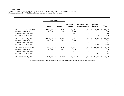# **K92 MINING INC.**  CONDENSED CONSOLIDATED INTERIM STATEMENTS OF CHANGES IN SHAREHOLDERS' EQUITY (Presented in thousands of United States Dollars, except share and per share amounts) (Unaudited)

|                                                                                                                                   | <b>Share capital</b>     |     |                    |                               |     |                                                |               |                                    |    |                                     |
|-----------------------------------------------------------------------------------------------------------------------------------|--------------------------|-----|--------------------|-------------------------------|-----|------------------------------------------------|---------------|------------------------------------|----|-------------------------------------|
|                                                                                                                                   | <b>Number</b>            |     | Amount             | <b>Contributed</b><br>surplus |     | <b>Accumulated other</b><br>comprehensive loss |               | <b>Retained</b><br><b>Earnings</b> |    | <b>Total</b>                        |
| <b>Balance at December 31, 2020</b><br>Exercise of stock options<br>Share-based payments (Note 11)<br>Net earnings for the period | 219,215,097<br>386,340   | \$. | 83,523 \$<br>965   | 20.160<br>(329)<br>2,624      | \$  | (257)                                          | <sup>\$</sup> | 78,089<br>2,188                    | S  | 181,515<br>636<br>2,624<br>2,188    |
| <b>Balance at March 31, 2021</b><br>Exercise of stock options<br>Share-based payments (Note 11)<br>Net earnings for the period    | 219,601,437<br>4,641,300 | \$  | 84,488 \$<br>7,533 | 22,455<br>(2, 845)<br>8,432   | \$  | (257)                                          | <sup>\$</sup> | 80,277<br>25,053                   | \$ | 186,963<br>4,688<br>8,432<br>25,053 |
| <b>Balance at December 31, 2021</b><br>Exercise of stock options<br>Share-based payments (Note 11)<br>Net earnings for the period | 224, 242, 737<br>751,040 | \$  | 92,021 \$<br>3,812 | 28,042<br>(1,693)<br>1,313    | \$  | (257)                                          | \$            | 105,330<br>14,082                  | \$ | 225,136<br>2,119<br>1,313<br>14,082 |
| <b>Balance at March 31, 2022</b>                                                                                                  | 224,993,777              | \$  | 95,833 \$          | 27,662                        | \$. | (257)                                          | ъ.            | 119,412                            |    | 242,650                             |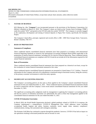## **1. NATURE OF BUSINESS**

K92 Mining Inc. (the "**Company**") was incorporated pursuant to the provisions of the Business Corporations Act (British Columbia) on March 22, 2010. The Company's shares are listed on the Toronto Stock Exchange ("**TSX**") under the symbol "KNT" and quoted on the OTCQX under the symbol "KNTNF". The Company is currently engaged in the exploration, development and mining of mineral deposits in Papua New Guinea, specifically the Kainantu Project.

The Company's head office, principal, registered and records office is 488 - 1090 West Georgia Street, Vancouver, British Columbia, V6E 3V7.

#### **2. BASIS OF PREPARATION**

#### **Statement of Compliance**

These condensed interim consolidated financial statements have been prepared in accordance with International Financial Reporting Standards as issued by the International Accounting Standards Board (IFRS) applicable to the preparation of interim financial statements, including IAS 34, *Interim Financial Reporting*. These condensed interim consolidated financial statements are compliant with IAS 34 and do not include all of the information required for full annual financial statements.

#### **Basis of Presentation**

These condensed interim consolidated financial statements have been prepared on a historical cost basis, except for the revaluation of certain financial instruments measured at fair value.

These condensed interim consolidated financial statements are presented in United States ("U.S.") dollars. Financial information for the Company and each of its subsidiaries is measured using its functional currency, being the currency of the primary economic environment in which the entity operates.

#### **3. SIGNIFICANT ACCOUNTING POLICIES**

The Company's accounting policies are the same as those applied in the Company's annual consolidated financial statements for the year-ended December 31, 2021. These condensed interim consolidated financial statements should be read in conjunction with the Company's most recent annual consolidated financial statements for the year ended December 31, 2021.

The significant accounting policy judgments made by management in applying the Company's accounting policies and the key sources of estimation uncertainty are substantially the same as those that management applied in the consolidated financial statements for the year ended December 31, 2021.

#### **COVID-19 Estimation Uncertainty**

In March 2020, the World Health Organization declared a global pandemic related to COVID-19. In response, the Company implemented a comprehensive COVID-19 Management Plan, which addresses issues including occupational health, hygiene and safety, business continuity, travel, supply chain, statutory compliance, communications, testing, risk assessment and contingency planning.

The Kainantu Gold Mine has continued to operate through the pandemic; however, COVID-19 has had an impact on site operations resulting in decreased production and an increase in costs.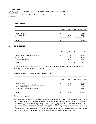## **4. RECEIVABLES**

| As at                                        |               | March 31, 2022         | December 31, 2021 |                        |  |  |
|----------------------------------------------|---------------|------------------------|-------------------|------------------------|--|--|
| Trade receivables<br>GST receivable<br>Other | <sup>\$</sup> | 18,273<br>7,819<br>331 | S                 | 16,748<br>6,168<br>333 |  |  |
| Total                                        |               | 26,423                 |                   | 23,249                 |  |  |

#### **5. INVENTORIES**

| As at                                                                        | March 31, 2022 |                          |   | December 31, 2021        |
|------------------------------------------------------------------------------|----------------|--------------------------|---|--------------------------|
| Mine supplies, consumables and fuel<br>Ore stockpile<br>Concentrate and doré | \$             | 18,520<br>4,120<br>4,673 | S | 17,355<br>4,090<br>3,966 |
| Total                                                                        |                | 27.313                   |   | 25.411                   |

During the three months ended March 31, 2022, the cost of inventory recognized as an expense in cost of sales amounted to \$22.5 million (2021 - \$20.9 million).

#### **6. ACCOUNTS PAYABLE AND ACCRUED LIABILITIES**

| As at                                                                                                                        | March 31, 2022                         | December 31, 2021 |                                  |  |  |
|------------------------------------------------------------------------------------------------------------------------------|----------------------------------------|-------------------|----------------------------------|--|--|
| Trade payables<br>Other accounts payable and trade related accruals<br>Employee accruals<br>Landowners' compensation accrual | \$<br>8.448<br>6,120<br>6,323<br>7,851 | S                 | 9,808<br>3,770<br>6,027<br>7,545 |  |  |
| Total                                                                                                                        | 28.742                                 |                   | 27,150                           |  |  |

*Landowners' compensation*

The Company has obligations to compensate landowners annually who are affected by the operations of the Kainantu mine. These compensations are governed by the Papua New Guinean Mining Act 1992 and land and environment compensation agreement ("**CA**") for Mining Lease 150 ("**ML 150**") that the prior owner of the Kainantu mine entered into with the Bilimoia Landowners Association Incorporation ("**BLA**") and certain landowners / clans listed in the agreement. The actual recipients of the compensation determined under the CA and landowners' share of sales royalty could not be paid as required under the CA until the legitimate landowners were identified by the Papua New Guinean Land Titles Commission ("**LTC**") and so compensation payments have been accrued but not paid.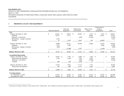# <span id="page-7-0"></span>**7. PROPERTY, PLANT AND EQUIPMENT**

|                                  |              | <b>Mineral Properties</b> |              | Plant and<br>Equipment |               | Mobile Fleet<br>and Vehicles | Right-of-Use<br>Assets |               | Construction in<br>Progress<br>$(Expansion)^1$ |               | Total   |
|----------------------------------|--------------|---------------------------|--------------|------------------------|---------------|------------------------------|------------------------|---------------|------------------------------------------------|---------------|---------|
| Cost                             |              |                           |              |                        |               |                              |                        |               |                                                |               |         |
| Balance, December 31, 2020       | \$           | 62,013                    | \$           | 28,811                 | <sup>\$</sup> | 28,029                       | 4,153<br><sup>\$</sup> | -S            | $1,815$ \$                                     |               | 124,821 |
| <b>Additions</b>                 |              | 10,473                    |              | 6,177                  |               |                              | 14,866                 |               | 22,957                                         |               | 54,473  |
| Disposals / write-downs          |              |                           |              |                        |               | (245)                        | (3,354)                |               |                                                |               | (3,599) |
| Reclamation - change in estimate |              | 2,341                     |              |                        |               |                              |                        |               |                                                |               | 2,341   |
| <b>Transfers</b>                 |              | 53                        |              | 5,233                  |               | 2.815                        | 201                    |               | (8.302)                                        |               |         |
|                                  |              |                           |              |                        |               |                              |                        |               |                                                |               |         |
| Balance, December 31, 2021       |              | 74,880                    |              | 40,221                 |               | 30,599                       | 15,866                 |               | 16,470                                         |               | 178,036 |
| <b>Additions</b>                 |              | 3,719                     |              | 1,269                  |               |                              |                        |               | 8,960                                          |               | 13,948  |
| Reclamation-changes in estimate  |              | (483)                     |              |                        |               |                              |                        |               |                                                |               | (483)   |
| Transfers                        |              |                           |              | (1,508)                |               | 2,752                        |                        |               | (1,244)                                        |               |         |
|                                  |              |                           |              |                        |               |                              |                        |               |                                                |               |         |
| Balance, March 31, 2022          | \$.          | 78,116                    | \$           | 39,982                 | <sup>\$</sup> | 33,351                       | 15,866<br>\$           | \$.           | 24,186 \$                                      |               | 191,501 |
|                                  |              |                           |              |                        |               |                              |                        |               |                                                |               |         |
| <b>Accumulated depreciation</b>  |              |                           |              |                        |               |                              |                        |               |                                                |               |         |
| Balance, December 31, 2020       | $\mathbb{S}$ | 10,943                    | $\mathbb{S}$ | 3.794                  | $\mathcal{S}$ | 9,968                        | $\mathcal{S}$<br>1,564 | -\$           | $\overline{\phantom{0}}$                       | <sup>\$</sup> | 26,269  |
| Depreciation and depletion       |              | 2,140                     |              | 2,249                  |               | 7,592                        | 2,052                  |               |                                                |               | 14,033  |
| Disposals / write-downs          |              |                           |              |                        |               | (160)                        | (1,904)                |               |                                                |               | (2,064) |
| <b>Transfers</b>                 |              | 260                       |              | (52)                   |               | (223)                        | 15                     |               |                                                |               |         |
| Balance, December 31, 2021       |              | 13,343                    |              | 5,991                  |               | 17,177                       | 1,727                  |               |                                                |               | 38,238  |
|                                  |              |                           |              |                        |               |                              |                        |               |                                                |               |         |
| Depreciation and depletion       |              | 745                       |              | 669                    |               | 1,773                        | 1,305                  |               |                                                |               | 4,492   |
| Balance, March 31, 2022          | \$.          | 14,088                    | \$           | 6,660                  | <sup>\$</sup> | 18,950                       | 3,032<br>\$            | \$            | $ \,$                                          | <sup>\$</sup> | 42,730  |
| <b>Carrying amounts</b>          |              |                           |              |                        |               |                              |                        |               |                                                |               |         |
| As at December 31, 2021          | \$           | 61,537                    | \$           | 34,230                 | -\$           | 13,422                       | 14,139<br>\$           | \$            | $16,470$ \$                                    |               | 139,798 |
| As at March 31, 2022             | \$           | 64,028                    | \$           | 33,322                 | \$            | 14,401                       | 12,834<br>\$           | <sup>\$</sup> | 24,186                                         | -\$           | 148,771 |

<sup>&</sup>lt;sup>1</sup> Construction in Progress at March 31, 2022 consists of \$17.1 million (2021 - \$14.1 million) in twin incline expansion costs and \$7.1 million (2021 - \$2.4 million) in other expansion costs.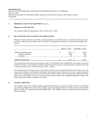# **7. PROPERTY, PLANT AND EQUIPMENT** (cont'd…)

#### **Mining Lease 150 ("ML 150")**

The Company holds the mining rights to ML 150 until June 13, 2024.

# **8. RECLAMATION AND CLOSURE COST OBLIGATIONS**

When the Company exhausts or abandons a mining property or an exploration site, it is required to undertake certain reclamation and closure procedures under the terms of the legislation enacted by the Government of Papua New Guinea.

|                                  |   | March 31, 2022 | December 31, 2021 |              |  |
|----------------------------------|---|----------------|-------------------|--------------|--|
| Balance, beginning of year       | S | 5,571          |                   | 3,040        |  |
| Change in estimates<br>Accretion |   | (483)<br>29    |                   | 2,341<br>190 |  |
|                                  |   |                |                   |              |  |
| Balance, end of period           | S | 5,117          |                   | 5,571        |  |

The provision has been measured as the present value of the estimated future rehabilitation costs using an estimated mine life of 10 years. The estimated cash-flows used to measure the provision were discounted to a present value using a risk-free discount rate of 7.76% (December 31, 2021 – 6.96%).

On an annual basis, the Company reviews the estimate of future costs of required reclamation and closure work. The current total estimate for all properties anticipates undiscounted future cash outflows to meet required legislative standards for reclamation and closure work in the amount of \$7.0 million, with first expenditures anticipated in 2030. These future cash outflows have been discounted at the risk-free interest rate considered applicable in Papua New Guinea where the Company's properties are located.

# **9. LEASES LIABILITIES**

The Company leases assets including mining equipment and buildings. The assets associated with the lease liabilities are included as Right-of-Use assets within property, plant and equipment (Note 7). During the three months ended March 31, 2022, the Company incurred \$0.4 million (2021 - \$0.1 million) related to interest and finance expenses on the lease liabilities.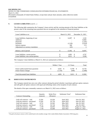# **9. LEASES LIABILITIES** (cont'd…)

The following table summarizes the Company's lease activity and the carrying amounts of the lease liabilities at the present value of the remaining lease payments that are recognized in the statement of financial position:

| Lease Liabilities as at                | March 31, 2022 |         | December 31, 2021 |         |  |
|----------------------------------------|----------------|---------|-------------------|---------|--|
|                                        |                |         |                   |         |  |
| Lease liabilities, beginning of year   | \$             | 14.097  | S                 | 2,545   |  |
| <b>Additions</b>                       |                |         |                   | 14,866  |  |
| Disposals                              |                |         |                   | (1,281) |  |
| Payments                               |                | (1,518) |                   | (2,610) |  |
| Interest expense                       |                | 368     |                   | 574     |  |
| Adjustment on currency translation     |                | (45)    |                   |         |  |
|                                        |                |         |                   |         |  |
| Balance, end of period                 | \$             | 12,902  |                   | 14,097  |  |
|                                        |                |         |                   |         |  |
| Lease liabilities, current portion     | \$             | 4.891   | S                 | 4,797   |  |
| Lease liabilities, non-current portion |                | 8,011   |                   | 9,300   |  |

The Company's lease liabilities at March 31, 2022 are summarized as follows:

|                                                              | Within 1 Year    | 2-3 Years      | Total              |
|--------------------------------------------------------------|------------------|----------------|--------------------|
| Future undiscounted lease payments<br>Future finance charges | 6.041<br>(1,150) | 8.709<br>(698) | 14,750<br>(1, 848) |
| Total discounted lease liabilities                           | 4.891            | 8.011          | 12,902             |

#### **10. DERIVATIVE INSTRUMENTS**

The Company entered into zero-cost collar contracts during the period whereby it purchases gold put option contracts and sells gold call option contracts with equal and offsetting values at the inception of each contract.

The details of the open commodity contracts as at March 31, 2022 were as follows:

| <b>Contracts Outstanding</b>   | Quantity<br>(ounces) | <b>Strike Price</b><br>( <i>§</i> /ounce) | Settlement Term <sup>2</sup> | <b>Settlement Date</b> |
|--------------------------------|----------------------|-------------------------------------------|------------------------------|------------------------|
| Gold call contracts – sold     | 15,581               | \$1,926                                   | April 2022                   | June 30, 2022          |
| Gold put contracts – purchased | 15,581               | \$1,726                                   | April 2022                   | June 30, 2022          |
| Gold call contracts – sold     | 8.731                | \$1,945                                   | May 2022                     | July 29, 2022          |
| Gold put contracts – purchased | 8.731                | \$1,744                                   | May 2022                     | July 29, 2022          |
| Gold call contracts $-$ sold   | 7.739                | \$2,045                                   | June 2022                    | August 31, 2022        |
| Gold put contracts – purchased | 7,739                | \$1,840                                   | June 2022                    | August 31, 2022        |

<span id="page-9-0"></span> $2$  The gold call and put contracts will be settled based on the monthly average of the London Bullion Market Association's PM fixing price.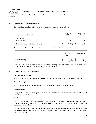# **10. DERIVATIVE INSTRUMENTS** (cont'd…)

The realized and unrealized gains (losses) on the commodity contracts were as follows:

| For the three months ended                 | March 31,<br>2022                        | March 31,<br>2021 |
|--------------------------------------------|------------------------------------------|-------------------|
| Realized gains<br>Unrealized loss          | S<br>$\overline{\phantom{0}}$<br>(1.477) | 572<br>1,290      |
| Net realized and unrealized gains (losses) | (1.477)                                  | 1.862             |

The fair value of the commodity contracts are presented on the statement of financial position as follows:

| As at                  | March 31,<br>2022 |    | December 31.<br>2021 |
|------------------------|-------------------|----|----------------------|
| Derivative assets      | 179               | Φ  | 118                  |
| Derivative liabilities | (1.963)           | J. | (425)                |

Fair value for derivative financial instruments are determined using valuation techniques, using assumptions based on market conditions existing at the statement of financial position date.

# **11. SHARE CAPITAL AND RESERVES**

#### **Authorized share capital**

The Company's authorized share capital consists of an unlimited number of common shares without par value.

#### **Issued share capital**

As at March 31, 2022, the Company had 224,993,777 common shares issued and outstanding.

#### **Share issuances**

Except on the exercise of share options, no shares were issued during the three months ended March 31, 2022 (December 31, 2021 - Nil).

#### **Equity compensation**

Until October 28, 2021, the Company had a "rolling" stock option plan (the "**Stock Option Plan**") whereby the Company was authorized to grant stock options ("**Options**") equal to up to 10% of the number of issued and outstanding common shares.

Effective October 28, 2021, the Company replaced the Stock Option Plan with a share compensation plan (the "**Share Compensation Plan**") that provides for the issuance of Options, Restricted Share Units ("**RSUs**"), and Performance Share Units ("**PSUs**").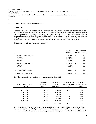### **11. SHARE CAPITAL AND RESERVES** (cont'd…)

#### **Stock options**

Pursuant to the Share Compensation Plan, the Company is authorized to grant Options to executive officers, directors, employees and consultants. The maximum number of Options that may be granted under the Share Compensation Plan, together with any other shares issuable pursuant to other security-based arrangements of the Company that may be granted pursuant to the Share Compensation Plan, is 9% of the issued and outstanding common shares at the time of the grant, on a non-diluted basis. The maximum number of common shares issuable pursuant to Options, on an aggregated basis, may not exceed 7% of the issued and outstanding common shares at the time of grant.

Stock option transactions are summarized as follows:

|                                                                     | Number<br>Outstanding                               |    | Weighted Average<br>Exercise Price (CAD) |  |  |  |
|---------------------------------------------------------------------|-----------------------------------------------------|----|------------------------------------------|--|--|--|
| Outstanding, December 31, 2020<br>Granted<br>Exercised<br>Forfeited | 15,985,890<br>2,420,000<br>(5,027,640)<br>(757,600) | \$ | 2.91<br>8.02<br>1.32<br>4.22             |  |  |  |
| Outstanding, December 31, 2021<br>Exercised<br>Forfeited            | 12,620,650<br>(751,040)<br>(96,600)                 | \$ | 4.44<br>3.57<br>8.02                     |  |  |  |
| Outstanding, March 31, 2022                                         | 11,773,010                                          | \$ | 4.47                                     |  |  |  |
| Number currently exercisable                                        | 11,059,010                                          | \$ | 4.24                                     |  |  |  |

The following incentive stock options were outstanding at March 31, 2022:

| Range of exercise prices<br>(in \$CAD) | Number of<br>outstanding<br>options | Number of<br>options<br>exercisable | Weighted-average<br>exercise price (in<br>\$CAD) | Weighted-<br>average years to<br>expiry |
|----------------------------------------|-------------------------------------|-------------------------------------|--------------------------------------------------|-----------------------------------------|
|                                        |                                     |                                     |                                                  |                                         |
| $0.45 - 0.99$                          | 1,540,000                           | 1,540,000                           | 0.73                                             | 0.87                                    |
| $1.00 - 1.99$                          | 2,951,750                           | 2,951,750                           | 1.77                                             | 2.27                                    |
| $2.00 - 2.99$                          | 245,000                             | 245,000                             | 2.17                                             | 2.64                                    |
| $3.00 - 3.99$                          | 1,466,160                           | 1,466,160                           | 3.85                                             | 2.84                                    |
| $4.00 - 4.99$                          | 110,200                             | 110,200                             | 4.00                                             | 3.23                                    |
| $5.00 - 8.99$                          | 5,459,900                           | 4,745,900                           | 7.27                                             | 3.72                                    |
|                                        | 11,773,010                          | 11,059,010                          | 4.47                                             | 2.85                                    |

The fair value of stock options is determined by the Black-Scholes Option Pricing Model with assumptions for riskfree interest rates, dividend yields, expected volatility, forfeiture rate, and expected life of the options. Under the plan the exercise price of each option equals the market price of the Company's stock as calculated on the date of grant.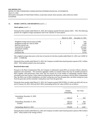# **11. SHARE CAPITAL AND RESERVES** (cont'd…)

#### **Stock options** (cont'd…)

During the three months ended March 31, 2022, the Company granted Nil stock options (2021 – Nil). The following presents the weighted average assumptions used in the valuation of stock options:

|                                         |    | March 31, 2022 | December 31, 2021 |           |  |
|-----------------------------------------|----|----------------|-------------------|-----------|--|
|                                         |    |                |                   |           |  |
| Weighted average exercise price (CAD\$) | S  | $\sim$ $-$     |                   | 8.02      |  |
| Weighted average fair value (CAD\$)     | \$ | $\sim$         | -S                | 3.88      |  |
| Risk-free interest rate                 |    |                |                   | 0.93%     |  |
| Expected life of options                |    |                |                   | 4.0 years |  |
| Annualized volatility                   |    |                |                   | 63.45%    |  |
| Dividend rate                           |    |                |                   | $0.00\%$  |  |
| Forfeiture rate                         |    |                |                   | 2.21%     |  |

The weighted average share price at the time of exercise for the three months ended March 31, 2022 was CAD\$7.61  $(2021 - CAB8.28).$ 

During the three months ended March 31, 2022, the Company recorded share-based payment expense of \$1.1 million (2021 – \$3.0 million) related to the stock options.

#### **Restricted share units**

Pursuant to the Share Compensation Plan, the Company is authorized to grant RSUs to executive officers, directors, employees and consultants. The maximum aggregate number of common shares that may be issuable pursuant to RSUs together with performance share units may not exceed 2% of the number of outstanding common shares, calculated at the time of grant. Unless otherwise determined by the Board in accordance with the Share Compensation Plan, the RSUs vest in three installments; one-third vesting one year from the grant date, one-third vesting two years from the grant date and the remainder vesting three years from the grant date.

During the three months ended March 31, 2022, the Company granted 328,370 RSUs of which one-third will vest on each of January 20, 2023, 2024 and 2025. RSUs outstanding and the fair value of RSUs are as follows:

|                                           | Number<br>Outstanding | Fair Value |              |  |
|-------------------------------------------|-----------------------|------------|--------------|--|
| Outstanding, December 31, 2020<br>Granted | 150,213               | \$         | -<br>833     |  |
| Outstanding, December 31, 2021<br>Granted | 150,213<br>328,370    | \$         | 833<br>1,729 |  |
| Outstanding, March 31, 2022               | 478,583               |            | 2,562        |  |

During the three months ended March 31, 2022, the Company recorded a share-based payment expense of \$0.3 million  $(2021 - $Nil)$  related to the vesting of RSUs.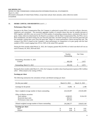# **11. SHARE CAPITAL AND RESERVES** (cont'd…)

#### **Performance Share Units**

Pursuant to the Share Compensation Plan, the Company is authorized to grant PSUs to executive officers, directors, employees and consultants. The maximum aggregate number of common shares that may be issuable pursuant to PSUs together with RSUs may not exceed 2% of the number of outstanding common shares, calculated at the time of grant. Unless otherwise determined by the Board in accordance with the Share Compensation Plan, the PSUs vest in three installments; one-third vesting one year from the grant date, one-third vesting two years from the grant date and the remainder vesting three years from the grant date, subject to certain performance criteria having been met. The vesting of the PSUs is based on the Company's share performance in comparison to its peer group with the final number of PSUs vested ranging from 25% to 150% of the initial PSUs granted.

During the three months ended March 31, 2022, the Company granted 492,556 PSUs of which one-third will vest on each of January 20, 2023, 2024 and 2025.

|                                           | Number<br>Outstanding | Fair Value |            |  |
|-------------------------------------------|-----------------------|------------|------------|--|
| Outstanding, December 31, 2021<br>Granted | 492,556               |            | ۰<br>2.972 |  |
| Outstanding, March 31, 2022               | 492,556               |            | 2.972      |  |

During the three months ended March 31, 2022, the Company recorded a share-based payment expense of \$0.3 million  $(2021 - $Nil)$  related to the vesting of PSUs.

#### **Earnings per share**

The following summarizes the calculation of basic and diluted earnings per share:

| For the year ended                                                                                   | March 31, 2022 |                                 |    |             |  |  | March 31, 2021 |  |  |  |
|------------------------------------------------------------------------------------------------------|----------------|---------------------------------|----|-------------|--|--|----------------|--|--|--|
| Earnings for the period                                                                              | \$             | 14,082                          | -S | 2,188       |  |  |                |  |  |  |
| Basic weighted average number of shares outstanding                                                  |                | 224,526,997                     |    | 219,501,009 |  |  |                |  |  |  |
| Effect of dilutive securities:<br>Stock options<br>Restricted share units<br>Performance share units |                | 4,948,925<br>405,612<br>407,043 |    | 9,324,159   |  |  |                |  |  |  |
| Diluted weighted average number of shares outstanding                                                |                | 230, 288, 577                   |    | 228,825,168 |  |  |                |  |  |  |
| <b>Earnings per share</b>                                                                            |                |                                 |    |             |  |  |                |  |  |  |
| <b>Basic</b>                                                                                         | \$             | 0.06                            | \$ | 0.01        |  |  |                |  |  |  |
| Diluted                                                                                              | \$             | 0.06                            | \$ | 0.01        |  |  |                |  |  |  |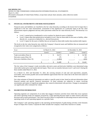# **12. FINANCIAL INSTRUMENTS AND RISK MANAGEMENT**

Financial assets and liabilities are classified in the fair value hierarchy according to the lowest level of input that is significant to the fair value measurement. Assessment of the significance of a particular input to the fair value measurement requires judgement and may affect placement within the fair value hierarchy levels. The hierarchy is as follows:

- Level 1: quoted prices (unadjusted) in active markets for identical assets or liabilities.
- Level 2: inputs other than quoted prices included in Level 1 that are observable for the asset or liability, either directly (i.e., as prices) or indirectly (i.e., derived from prices).
- Level 3: inputs for the asset or liability that are not based on observable market data (unobservable inputs).

The levels in the fair value hierarchy into which the Company's financial assets and liabilities that are measured and recognized at fair value were categorized as follows:

| As at                            | At March 31, 2022 |         |   | At December 31, 2021 |    |                          |   |         |
|----------------------------------|-------------------|---------|---|----------------------|----|--------------------------|---|---------|
|                                  |                   | Level 1 |   | Level 2              |    | Level 1                  |   | Level 2 |
| Trade receivables (Note 4)       | \$                | -       | S | 18.273               | \$ | $\overline{\phantom{a}}$ |   | 16,748  |
| Derivative assets (Note 10)      |                   |         |   | 179.                 |    | -                        |   | 118     |
| Derivative liabilities (Note 10) |                   |         |   | (1,963)              |    |                          |   | (425)   |
|                                  | S                 |         | Ъ | 16.489               |    | $\overline{\phantom{0}}$ | ъ | 16,441  |

The fair value of the Company's trade receivables, derivative assets and derivative liabilities were determined using observable market prices and market-derived inputs. There were no transfers between Level 1 and Level 2 during the three months ended March 31, 2022.

As at March 31, 2022 and December 31, 2021, the carrying amounts of cash and cash equivalents, prepaids, receivables, and accounts payable and accrued liabilities approximate their fair values due to the short-term nature of these instruments.

Fair value estimates of financial instruments are made at a specific point in time, based on relevant information about financial markets and specific financial instruments. As these estimates are subjective in nature, involving uncertainties and matters of significant judgment, they cannot be determined with precision. Changes in assumptions can significantly affect estimated fair values.

# **13. SEGMENTED INFORMATION**

Operating segments are components of an entity that engage in business activities from which they incur expenses and whose operating results are regularly reviewed by a chief operating decision maker to make resource allocation decisions and to assess performance. The Chief Executive Officer is responsible for allocating resources and reviewing operating results of each operating segment on a periodic basis.

The Company's only operating segment is the operating and development of gold mining activities at the Kainantu Project in Papua New Guinea. Corporate & Other includes the Company's head office function in Canada.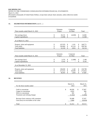# **13. SEGMENTED INFORMATION** (cont'd…)

| Three months ended March 31, 2022                                         | Kainantu<br>Corporate<br>& Other<br>Project |                              |                          |                          | Total          |                              |
|---------------------------------------------------------------------------|---------------------------------------------|------------------------------|--------------------------|--------------------------|----------------|------------------------------|
| Net earnings (loss)<br>Capital expenditures                               | \$<br>\$                                    | 18,131<br>13,948             |                          | (4,049)                  | \$<br>\$       | 14,082<br>13,948             |
| As at March 31, 2022                                                      |                                             |                              |                          |                          |                |                              |
| Property, plant and equipment<br>Total assets<br><b>Total liabilities</b> | \$<br>\$<br>\$                              | 147,670<br>236,660<br>52,318 | $\mathbb{S}$<br>\$<br>\$ | 1,101<br>62,124<br>3,816 | \$<br>\$<br>\$ | 148,771<br>298,784<br>56,134 |
| Three months ended March 31, 2021                                         |                                             | Kainantu<br>Project          | Corporate<br>& Other     |                          |                | Total                        |
| Net earnings (loss)<br>Capital expenditures                               | \$                                          | 3,276<br>9,142               | $\mathbb{S}$<br>\$       | (1,088)                  | \$<br>\$       | 2,188<br>9,142               |
| As at December 31, 2021                                                   |                                             |                              |                          |                          |                |                              |

| As at December $31, 2021$     |    |         |        |         |  |
|-------------------------------|----|---------|--------|---------|--|
|                               |    |         |        |         |  |
| Property, plant and equipment | J) | 138.658 | 1.140  | 139.798 |  |
| Total assets                  | J) | 213.514 | 59.509 | 273.023 |  |
| Total liabilities             |    | 46,043  | .844   | 47.887  |  |
|                               |    |         |        |         |  |

# **14. REVENUE**

 $\overline{\phantom{a}}$ 

| For the three months ended               | March 31,<br>2022 |     | March 31,<br>2021 |
|------------------------------------------|-------------------|-----|-------------------|
| Gold in concentrate                      | \$<br>46,836      | S   | 37,967            |
| Copper in concentrate                    | 4,832             |     | 960               |
| Silver in concentrate                    | 302               |     | 16                |
| Treatment and refining charges           | (1, 562)          |     | (1,006)           |
| Revenue from contracts with customers    | 50,408            |     | 37,937            |
| Gain (loss) on receivables at fair value | 2,004             |     | (8, 424)          |
| Total                                    | \$<br>52,412      | \$. | 29,513            |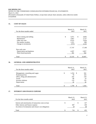# **15. COST OF SALES**

| For the three months ended | March 31,<br>2022 | March 31,<br>2021 |
|----------------------------|-------------------|-------------------|
| Direct mining and milling  | \$<br>5,071       | \$<br>4,903       |
| Maintenance                | 3,667             | 2,727             |
| Other site costs           | 8,525             | 5,954             |
| Net smelter royalties      | 1,221             | 989               |
| Change in inventories      | (737)             | 2,535             |
|                            | 17,747            | 17,108            |
| Non-cash costs             |                   |                   |
| Depreciation and depletion | 4,397             | 2,857             |
| Share-based payments       | 391               | 942               |
| Total                      | \$<br>22,535      | \$<br>20,907      |

# **16. GENERAL AND ADMINISTRATIVE**

L,

| For the three months ended        |    | March 31,<br>2022 |          | March 31,<br>2021 |
|-----------------------------------|----|-------------------|----------|-------------------|
|                                   |    |                   |          |                   |
| Management, consulting and wages  | \$ | 1,254             | -S       | 941               |
| Professional fees                 |    | 78                |          | 103               |
| Office, filing and administrative |    | 242               |          | 218               |
| Travel                            |    | 80                |          | 19                |
| Investor relations                |    | 119               |          | 135               |
| Depreciation                      |    | 26                |          | 26                |
| Total                             | S  | 1.799             | <b>S</b> | 1,442             |

# **17. INTEREST AND FINANCE EXPENSE**

| For the three months ended                                                                                                                            |   | March 31,<br>2022 | March 31,<br>2021 |
|-------------------------------------------------------------------------------------------------------------------------------------------------------|---|-------------------|-------------------|
| Interest and amortization of transaction costs on loan<br>Other interest and finance expense<br>Accretion of reclamation and closure cost obligations | S | -<br>687<br>29    | 147<br>240        |
| Total                                                                                                                                                 |   | 716               | 435               |